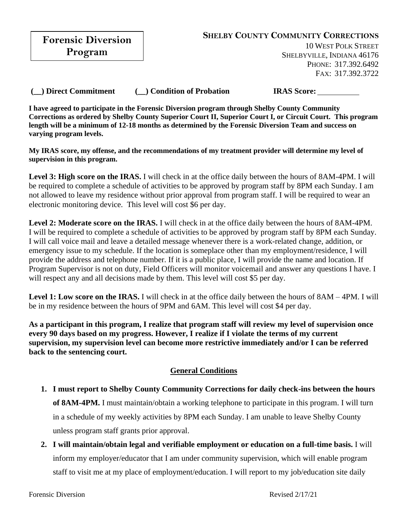**Forensic Diversion Program**

10 WEST POLK STREET SHELBYVILLE, INDIANA 46176 PHONE: 317.392.6492 FAX: 317.392.3722

**(\_\_) Direct Commitment (\_\_) Condition of Probation IRAS Score:**

**I have agreed to participate in the Forensic Diversion program through Shelby County Community Corrections as ordered by Shelby County Superior Court II, Superior Court I, or Circuit Court. This program length will be a minimum of 12-18 months as determined by the Forensic Diversion Team and success on varying program levels.**

**My IRAS score, my offense, and the recommendations of my treatment provider will determine my level of supervision in this program.**

Level 3: High score on the IRAS. I will check in at the office daily between the hours of 8AM-4PM. I will be required to complete a schedule of activities to be approved by program staff by 8PM each Sunday. I am not allowed to leave my residence without prior approval from program staff. I will be required to wear an electronic monitoring device. This level will cost \$6 per day.

**Level 2: Moderate score on the IRAS.** I will check in at the office daily between the hours of 8AM-4PM. I will be required to complete a schedule of activities to be approved by program staff by 8PM each Sunday. I will call voice mail and leave a detailed message whenever there is a work-related change, addition, or emergency issue to my schedule. If the location is someplace other than my employment/residence, I will provide the address and telephone number. If it is a public place, I will provide the name and location. If Program Supervisor is not on duty, Field Officers will monitor voicemail and answer any questions I have. I will respect any and all decisions made by them. This level will cost \$5 per day.

**Level 1: Low score on the IRAS.** I will check in at the office daily between the hours of 8AM – 4PM. I will be in my residence between the hours of 9PM and 6AM. This level will cost \$4 per day.

**As a participant in this program, I realize that program staff will review my level of supervision once every 90 days based on my progress. However, I realize if I violate the terms of my current supervision, my supervision level can become more restrictive immediately and/or I can be referred back to the sentencing court.**

## **General Conditions**

- **1. I must report to Shelby County Community Corrections for daily check-ins between the hours of 8AM-4PM.** I must maintain/obtain a working telephone to participate in this program. I will turn in a schedule of my weekly activities by 8PM each Sunday. I am unable to leave Shelby County unless program staff grants prior approval.
- **2. I will maintain/obtain legal and verifiable employment or education on a full-time basis.** I will inform my employer/educator that I am under community supervision, which will enable program staff to visit me at my place of employment/education. I will report to my job/education site daily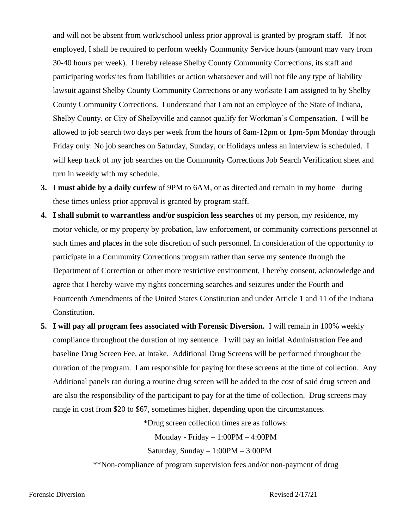and will not be absent from work/school unless prior approval is granted by program staff. If not employed, I shall be required to perform weekly Community Service hours (amount may vary from 30-40 hours per week). I hereby release Shelby County Community Corrections, its staff and participating worksites from liabilities or action whatsoever and will not file any type of liability lawsuit against Shelby County Community Corrections or any worksite I am assigned to by Shelby County Community Corrections. I understand that I am not an employee of the State of Indiana, Shelby County, or City of Shelbyville and cannot qualify for Workman's Compensation. I will be allowed to job search two days per week from the hours of 8am-12pm or 1pm-5pm Monday through Friday only. No job searches on Saturday, Sunday, or Holidays unless an interview is scheduled. I will keep track of my job searches on the Community Corrections Job Search Verification sheet and turn in weekly with my schedule.

- **3. I must abide by a daily curfew** of 9PM to 6AM, or as directed and remain in my home during these times unless prior approval is granted by program staff.
- **4. I shall submit to warrantless and/or suspicion less searches** of my person, my residence, my motor vehicle, or my property by probation, law enforcement, or community corrections personnel at such times and places in the sole discretion of such personnel. In consideration of the opportunity to participate in a Community Corrections program rather than serve my sentence through the Department of Correction or other more restrictive environment, I hereby consent, acknowledge and agree that I hereby waive my rights concerning searches and seizures under the Fourth and Fourteenth Amendments of the United States Constitution and under Article 1 and 11 of the Indiana Constitution.
- **5. I will pay all program fees associated with Forensic Diversion.** I will remain in 100% weekly compliance throughout the duration of my sentence. I will pay an initial Administration Fee and baseline Drug Screen Fee, at Intake. Additional Drug Screens will be performed throughout the duration of the program. I am responsible for paying for these screens at the time of collection. Any Additional panels ran during a routine drug screen will be added to the cost of said drug screen and are also the responsibility of the participant to pay for at the time of collection. Drug screens may range in cost from \$20 to \$67, sometimes higher, depending upon the circumstances.

\*Drug screen collection times are as follows:

Monday - Friday – 1:00PM – 4:00PM

Saturday, Sunday – 1:00PM – 3:00PM

\*\*Non-compliance of program supervision fees and/or non-payment of drug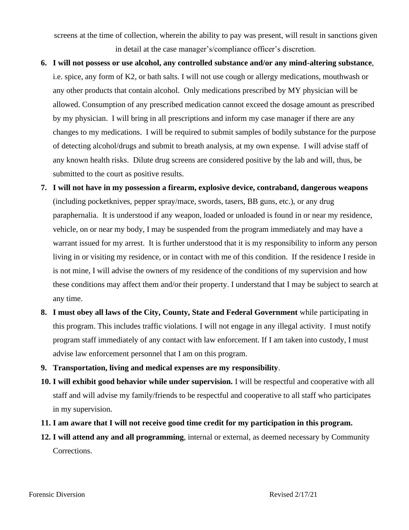screens at the time of collection, wherein the ability to pay was present, will result in sanctions given in detail at the case manager's/compliance officer's discretion.

- **6. I will not possess or use alcohol, any controlled substance and/or any mind-altering substance**, i.e. spice, any form of K2, or bath salts. I will not use cough or allergy medications, mouthwash or any other products that contain alcohol. Only medications prescribed by MY physician will be allowed. Consumption of any prescribed medication cannot exceed the dosage amount as prescribed by my physician. I will bring in all prescriptions and inform my case manager if there are any changes to my medications. I will be required to submit samples of bodily substance for the purpose of detecting alcohol/drugs and submit to breath analysis, at my own expense. I will advise staff of any known health risks. Dilute drug screens are considered positive by the lab and will, thus, be submitted to the court as positive results.
- **7. I will not have in my possession a firearm, explosive device, contraband, dangerous weapons** (including pocketknives, pepper spray/mace, swords, tasers, BB guns, etc.), or any drug paraphernalia. It is understood if any weapon, loaded or unloaded is found in or near my residence, vehicle, on or near my body, I may be suspended from the program immediately and may have a warrant issued for my arrest. It is further understood that it is my responsibility to inform any person living in or visiting my residence, or in contact with me of this condition. If the residence I reside in is not mine, I will advise the owners of my residence of the conditions of my supervision and how these conditions may affect them and/or their property. I understand that I may be subject to search at any time.
- **8. I must obey all laws of the City, County, State and Federal Government** while participating in this program. This includes traffic violations. I will not engage in any illegal activity. I must notify program staff immediately of any contact with law enforcement. If I am taken into custody, I must advise law enforcement personnel that I am on this program.
- **9. Transportation, living and medical expenses are my responsibility**.
- **10. I will exhibit good behavior while under supervision.** I will be respectful and cooperative with all staff and will advise my family/friends to be respectful and cooperative to all staff who participates in my supervision.
- **11. I am aware that I will not receive good time credit for my participation in this program.**
- **12. I will attend any and all programming**, internal or external, as deemed necessary by Community Corrections.